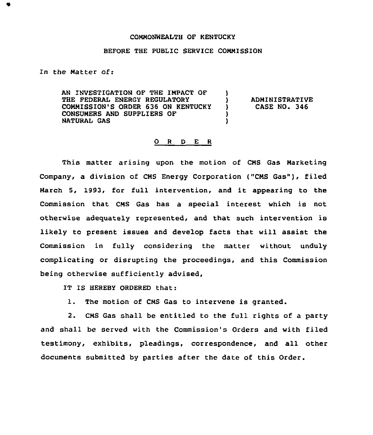## COMMONWEALTH OF KENTUCKY

## BEFORE THE PUBLIC SERVICE COMMISSION

In the Matter of:

AN INVESTIGATION OF THE IMPACT OF THE FEDERAL ENERGY REGULATORY COMMISSION'S ORDER 636 ON KENTUCKY CONSUMERS AND SUPPLIERS OF NATURAL GAS )<br>) ) )

) ADMINISTRATIVE<br>) CASE NO. 346 ) CASE NO. 346

## 0 <sup>R</sup> <sup>D</sup> E <sup>R</sup>

This matter arising upon the motion of CMS Gas Marketing Company, a division of CMS Energy Corporation ("CMS Gas"), filed March 5, 1993, for full intervention, and it appearing to the Commission that CMS Gas has a special interest which is not otherwise adequately represented, and that such intervention is likely to present issues and develop facts that will assist the Commission in fully considering the matter without unduly complicating or disrupting the proceedings, and this Commission being otherwise sufficiently advised,

IT IS HEREBY ORDERED that:

1. The motion of CMS Gas to intervene is granted.

2. CMS Gas shall be entitled to the full rights of a party and shall be served with the Commission's Orders and with filed testimony, exhibits, pleadings, correspondence, and all other documents submitted by parties after the date of this Order.